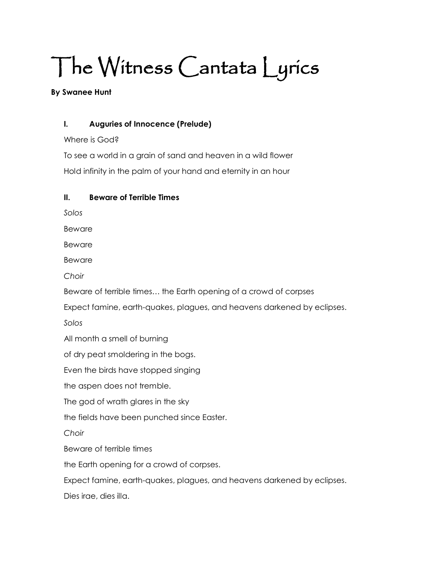# The Witness Cantata Lyrics

#### **By Swanee Hunt**

## **I. Auguries of Innocence (Prelude)**

Where is God?

To see a world in a grain of sand and heaven in a wild flower Hold infinity in the palm of your hand and eternity in an hour

## **II. Beware of Terrible Times**

*Solos* 

Beware

Beware

Beware

*Choir*

Beware of terrible times… the Earth opening of a crowd of corpses

Expect famine, earth-quakes, plagues, and heavens darkened by eclipses.

*Solos*

All month a smell of burning

of dry peat smoldering in the bogs.

Even the birds have stopped singing

the aspen does not tremble.

The god of wrath glares in the sky

the fields have been punched since Easter.

*Choir*

Beware of terrible times

the Earth opening for a crowd of corpses.

Expect famine, earth-quakes, plagues, and heavens darkened by eclipses.

Dies irae, dies illa.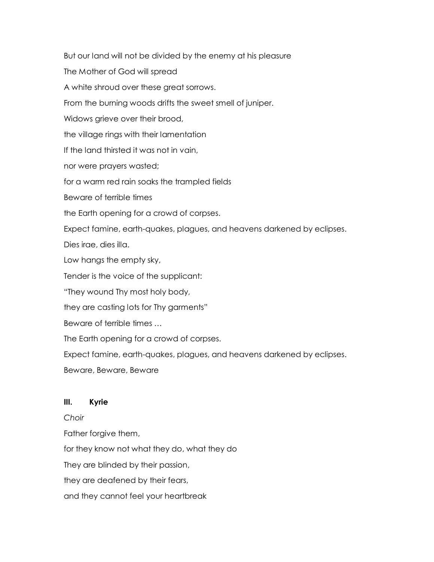But our land will not be divided by the enemy at his pleasure The Mother of God will spread A white shroud over these great sorrows. From the burning woods drifts the sweet smell of juniper. Widows grieve over their brood, the village rings with their lamentation If the land thirsted it was not in vain, nor were prayers wasted; for a warm red rain soaks the trampled fields Beware of terrible times the Earth opening for a crowd of corpses. Expect famine, earth-quakes, plagues, and heavens darkened by eclipses. Dies irae, dies illa. Low hangs the empty sky, Tender is the voice of the supplicant: "They wound Thy most holy body, they are casting lots for Thy garments" Beware of terrible times … The Earth opening for a crowd of corpses. Expect famine, earth-quakes, plagues, and heavens darkened by eclipses. Beware, Beware, Beware

## **III. Kyrie**

*Choir*

Father forgive them,

for they know not what they do, what they do

They are blinded by their passion,

they are deafened by their fears,

and they cannot feel your heartbreak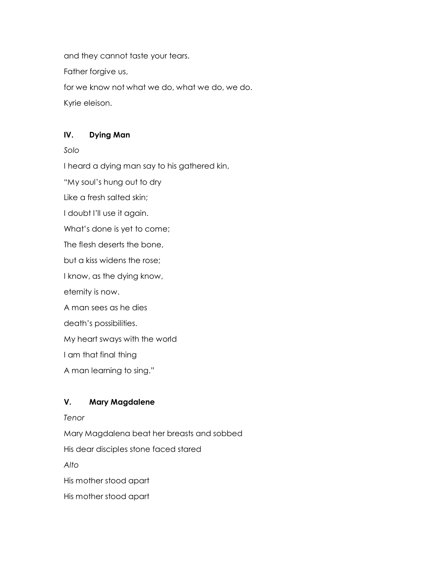and they cannot taste your tears.

Father forgive us,

for we know not what we do, what we do, we do.

Kyrie eleison.

## **IV. Dying Man**

*Solo*

I heard a dying man say to his gathered kin,

"My soul's hung out to dry

Like a fresh salted skin;

I doubt I'll use it again.

What's done is yet to come;

The flesh deserts the bone,

but a kiss widens the rose;

I know, as the dying know,

eternity is now.

A man sees as he dies

death's possibilities.

My heart sways with the world

I am that final thing

A man learning to sing."

## **V. Mary Magdalene**

*Tenor*

Mary Magdalena beat her breasts and sobbed

His dear disciples stone faced stared

*Alto*

His mother stood apart

His mother stood apart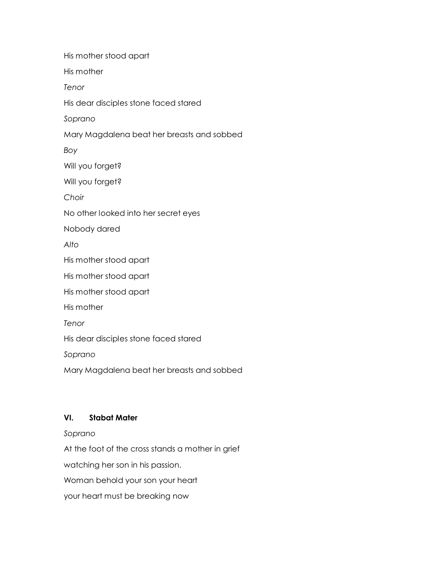His mother stood apart His mother *Tenor* His dear disciples stone faced stared *Soprano* Mary Magdalena beat her breasts and sobbed *Boy* Will you forget? Will you forget? *Choir* No other looked into her secret eyes Nobody dared *Alto* His mother stood apart His mother stood apart His mother stood apart His mother *Tenor* His dear disciples stone faced stared *Soprano* Mary Magdalena beat her breasts and sobbed

## **VI. Stabat Mater**

*Soprano*

At the foot of the cross stands a mother in grief watching her son in his passion. Woman behold your son your heart

your heart must be breaking now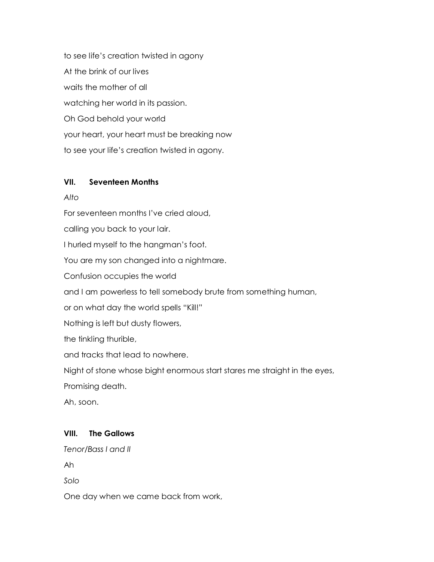to see life's creation twisted in agony At the brink of our lives waits the mother of all watching her world in its passion. Oh God behold your world your heart, your heart must be breaking now to see your life's creation twisted in agony.

## **VII. Seventeen Months**

*Alto*

For seventeen months I've cried aloud,

calling you back to your lair.

I hurled myself to the hangman's foot.

You are my son changed into a nightmare.

Confusion occupies the world

and I am powerless to tell somebody brute from something human,

or on what day the world spells "Kill!"

Nothing is left but dusty flowers,

the tinkling thurible,

and tracks that lead to nowhere.

Night of stone whose bight enormous start stares me straight in the eyes,

Promising death.

Ah, soon.

## **VIII. The Gallows**

*Tenor/Bass I and II*

Ah

*Solo*

One day when we came back from work,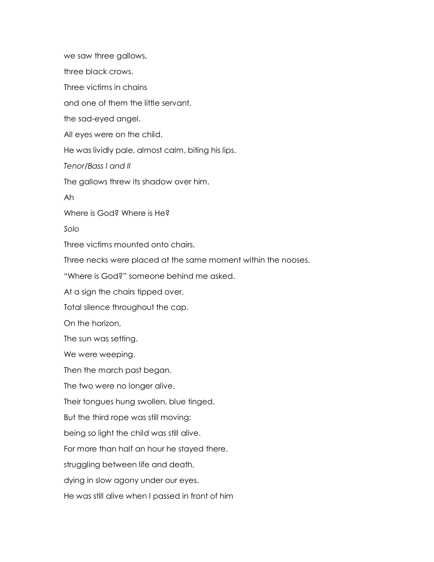we saw three gallows, three black crows. Three victims in chains and one of them the little servant, the sad-eyed angel. All eyes were on the child. He was lividly pale, almost calm, biting his lips. *Tenor/Bass I and II*  The gallows threw its shadow over him. Ah Where is God? Where is He? *Solo* Three victims mounted onto chairs. Three necks were placed at the same moment within the nooses. "Where is God?" someone behind me asked. At a sign the chairs tipped over. Total silence throughout the cap. On the horizon, The sun was setting. We were weeping. Then the march past began. The two were no longer alive. Their tongues hung swollen, blue tinged. But the third rope was still moving; being so light the child was still alive. For more than half an hour he stayed there, struggling between life and death, dying in slow agony under our eyes. He was still alive when I passed in front of him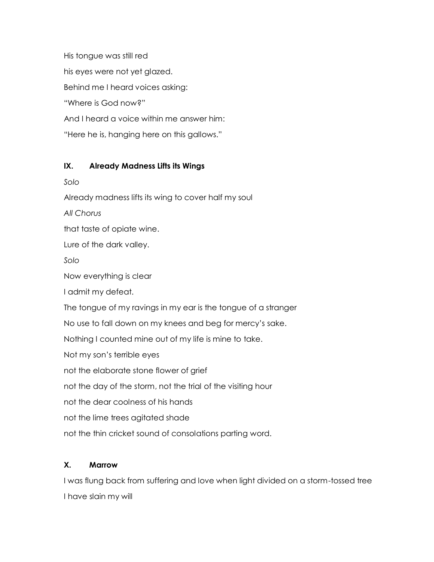His tongue was still red his eyes were not yet glazed. Behind me I heard voices asking: "Where is God now?" And I heard a voice within me answer him: "Here he is, hanging here on this gallows."

## **IX. Already Madness Lifts its Wings**

*Solo*

Already madness lifts its wing to cover half my soul

*All Chorus*

that taste of opiate wine.

Lure of the dark valley.

*Solo*

Now everything is clear

I admit my defeat.

The tongue of my ravings in my ear is the tongue of a stranger

No use to fall down on my knees and beg for mercy's sake.

Nothing I counted mine out of my life is mine to take.

Not my son's terrible eyes

not the elaborate stone flower of grief

not the day of the storm, not the trial of the visiting hour

not the dear coolness of his hands

not the lime trees agitated shade

not the thin cricket sound of consolations parting word.

## **X. Marrow**

I was flung back from suffering and love when light divided on a storm-tossed tree I have slain my will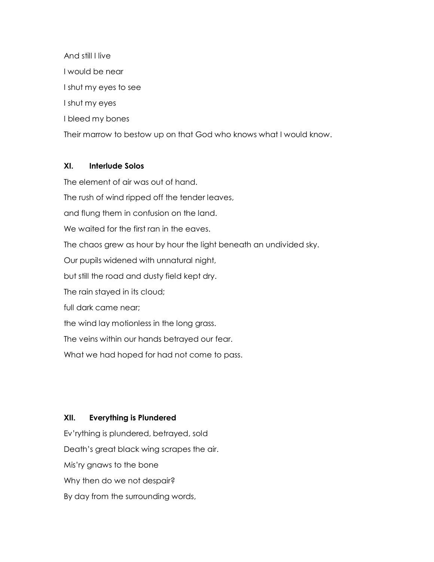And still I live I would be near I shut my eyes to see I shut my eyes I bleed my bones Their marrow to bestow up on that God who knows what I would know.

## **XI. Interlude Solos**

The element of air was out of hand. The rush of wind ripped off the tender leaves, and flung them in confusion on the land. We waited for the first ran in the eaves. The chaos grew as hour by hour the light beneath an undivided sky. Our pupils widened with unnatural night, but still the road and dusty field kept dry. The rain stayed in its cloud; full dark came near; the wind lay motionless in the long grass. The veins within our hands betrayed our fear. What we had hoped for had not come to pass.

## **XII. Everything is Plundered**

Ev'rything is plundered, betrayed, sold Death's great black wing scrapes the air. Mis'ry gnaws to the bone Why then do we not despair? By day from the surrounding words,